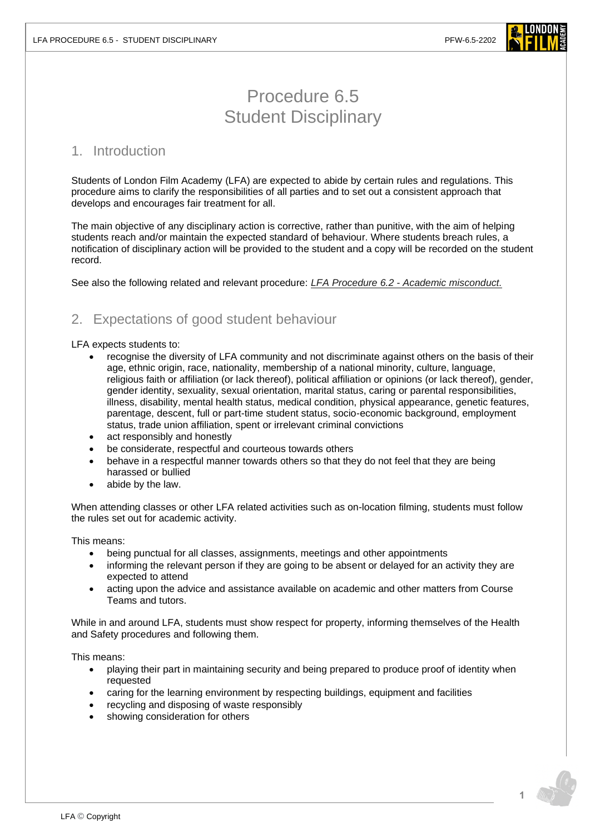

# Procedure 6.5 Student Disciplinary

### 1. Introduction

Students of London Film Academy (LFA) are expected to abide by certain rules and regulations. This procedure aims to clarify the responsibilities of all parties and to set out a consistent approach that develops and encourages fair treatment for all.

The main objective of any disciplinary action is corrective, rather than punitive, with the aim of helping students reach and/or maintain the expected standard of behaviour. Where students breach rules, a notification of disciplinary action will be provided to the student and a copy will be recorded on the student record.

See also the following related and relevant procedure: *LFA Procedure 6.2 - [Academic misconduct.](https://www.londonfilmacademy.com/LFA_Procedure_6.2_Academic_misconduct.pdf)*

# 2. Expectations of good student behaviour

#### LFA expects students to:

- recognise the diversity of LFA community and not discriminate against others on the basis of their age, ethnic origin, race, nationality, membership of a national minority, culture, language, religious faith or affiliation (or lack thereof), political affiliation or opinions (or lack thereof), gender, gender identity, sexuality, sexual orientation, marital status, caring or parental responsibilities, illness, disability, mental health status, medical condition, physical appearance, genetic features, parentage, descent, full or part-time student status, socio-economic background, employment status, trade union affiliation, spent or irrelevant criminal convictions
- act responsibly and honestly
- be considerate, respectful and courteous towards others
- behave in a respectful manner towards others so that they do not feel that they are being harassed or bullied
- abide by the law.

When attending classes or other LFA related activities such as on-location filming, students must follow the rules set out for academic activity.

#### This means:

- being punctual for all classes, assignments, meetings and other appointments
- informing the relevant person if they are going to be absent or delayed for an activity they are expected to attend
- acting upon the advice and assistance available on academic and other matters from Course Teams and tutors.

While in and around LFA, students must show respect for property, informing themselves of the Health and Safety procedures and following them.

This means:

- playing their part in maintaining security and being prepared to produce proof of identity when requested
- caring for the learning environment by respecting buildings, equipment and facilities
- recycling and disposing of waste responsibly
- showing consideration for others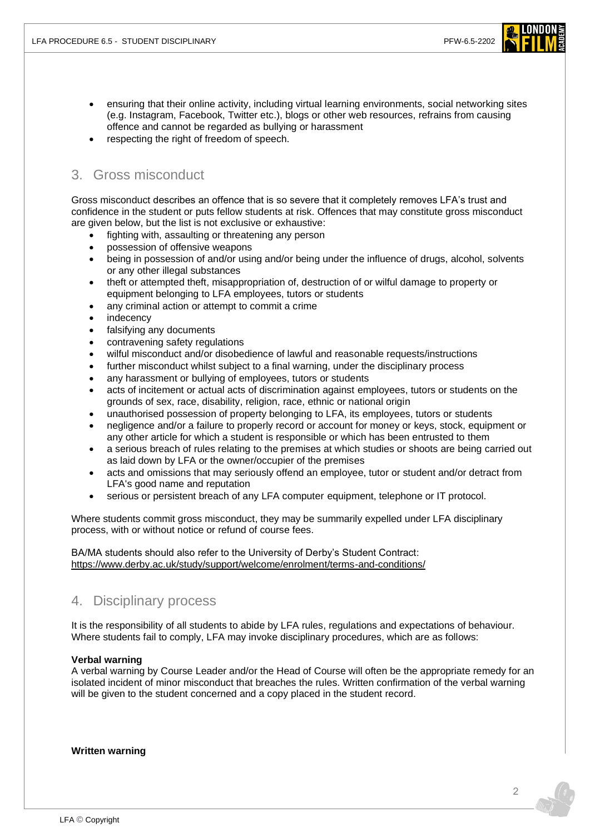- ensuring that their online activity, including virtual learning environments, social networking sites (e.g. Instagram, Facebook, Twitter etc.), blogs or other web resources, refrains from causing offence and cannot be regarded as bullying or harassment
- respecting the right of freedom of speech.

## 3. Gross misconduct

Gross misconduct describes an offence that is so severe that it completely removes LFA's trust and confidence in the student or puts fellow students at risk. Offences that may constitute gross misconduct are given below, but the list is not exclusive or exhaustive:

- fighting with, assaulting or threatening any person
- possession of offensive weapons
- being in possession of and/or using and/or being under the influence of drugs, alcohol, solvents or any other illegal substances
- theft or attempted theft, misappropriation of, destruction of or wilful damage to property or equipment belonging to LFA employees, tutors or students
- any criminal action or attempt to commit a crime
- indecency
- falsifying any documents
- contravening safety regulations
- wilful misconduct and/or disobedience of lawful and reasonable requests/instructions
- further misconduct whilst subject to a final warning, under the disciplinary process
- any harassment or bullying of employees, tutors or students
- acts of incitement or actual acts of discrimination against employees, tutors or students on the grounds of sex, race, disability, religion, race, ethnic or national origin
- unauthorised possession of property belonging to LFA, its employees, tutors or students
- negligence and/or a failure to properly record or account for money or keys, stock, equipment or any other article for which a student is responsible or which has been entrusted to them
- a serious breach of rules relating to the premises at which studies or shoots are being carried out as laid down by LFA or the owner/occupier of the premises
- acts and omissions that may seriously offend an employee, tutor or student and/or detract from LFA's good name and reputation
- serious or persistent breach of any LFA computer equipment, telephone or IT protocol.

Where students commit gross misconduct, they may be summarily expelled under LFA disciplinary process, with or without notice or refund of course fees.

BA/MA students should also refer to the University of Derby's Student Contract: <https://www.derby.ac.uk/study/support/welcome/enrolment/terms-and-conditions/>

### 4. Disciplinary process

It is the responsibility of all students to abide by LFA rules, regulations and expectations of behaviour. Where students fail to comply, LFA may invoke disciplinary procedures, which are as follows:

### **Verbal warning**

A verbal warning by Course Leader and/or the Head of Course will often be the appropriate remedy for an isolated incident of minor misconduct that breaches the rules. Written confirmation of the verbal warning will be given to the student concerned and a copy placed in the student record.

**Written warning**